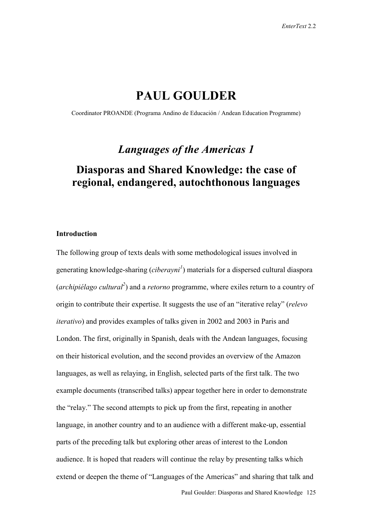# **PAUL GOULDER**

Coordinator PROANDE (Programa Andino de Educación / Andean Education Programme)

# *Languages of the Americas 1*

# **Diasporas and Shared Knowledge: the case of regional, endangered, autochthonous languages**

## **Introduction**

The following group of texts deals with some methodological issues involved in generating knowledge-sharing (*ciberayni<sup>1</sup>* ) materials for a dispersed cultural diaspora (*archipiélago cultural<sup>2</sup>* ) and a *retorno* programme, where exiles return to a country of origin to contribute their expertise. It suggests the use of an "iterative relay" (*relevo iterativo*) and provides examples of talks given in 2002 and 2003 in Paris and London. The first, originally in Spanish, deals with the Andean languages, focusing on their historical evolution, and the second provides an overview of the Amazon languages, as well as relaying, in English, selected parts of the first talk. The two example documents (transcribed talks) appear together here in order to demonstrate the "relay." The second attempts to pick up from the first, repeating in another language, in another country and to an audience with a different make-up, essential parts of the preceding talk but exploring other areas of interest to the London audience. It is hoped that readers will continue the relay by presenting talks which extend or deepen the theme of "Languages of the Americas" and sharing that talk and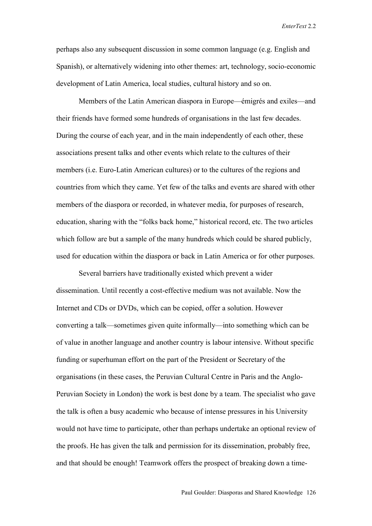perhaps also any subsequent discussion in some common language (e.g. English and Spanish), or alternatively widening into other themes: art, technology, socio-economic development of Latin America, local studies, cultural history and so on.

Members of the Latin American diaspora in Europe—émigrés and exiles—and their friends have formed some hundreds of organisations in the last few decades. During the course of each year, and in the main independently of each other, these associations present talks and other events which relate to the cultures of their members (i.e. Euro-Latin American cultures) or to the cultures of the regions and countries from which they came. Yet few of the talks and events are shared with other members of the diaspora or recorded, in whatever media, for purposes of research, education, sharing with the "folks back home," historical record, etc. The two articles which follow are but a sample of the many hundreds which could be shared publicly, used for education within the diaspora or back in Latin America or for other purposes.

Several barriers have traditionally existed which prevent a wider dissemination. Until recently a cost-effective medium was not available. Now the Internet and CDs or DVDs, which can be copied, offer a solution. However converting a talk—sometimes given quite informally—into something which can be of value in another language and another country is labour intensive. Without specific funding or superhuman effort on the part of the President or Secretary of the organisations (in these cases, the Peruvian Cultural Centre in Paris and the Anglo-Peruvian Society in London) the work is best done by a team. The specialist who gave the talk is often a busy academic who because of intense pressures in his University would not have time to participate, other than perhaps undertake an optional review of the proofs. He has given the talk and permission for its dissemination, probably free, and that should be enough! Teamwork offers the prospect of breaking down a time-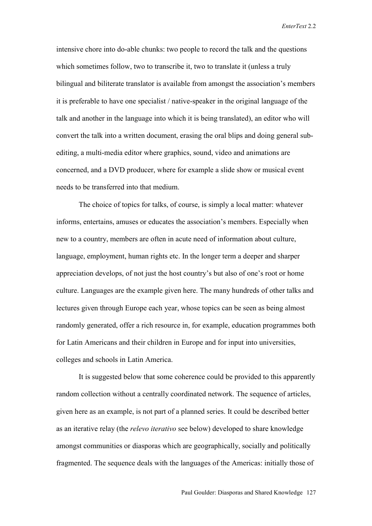intensive chore into do-able chunks: two people to record the talk and the questions which sometimes follow, two to transcribe it, two to translate it (unless a truly bilingual and biliterate translator is available from amongst the association's members it is preferable to have one specialist / native-speaker in the original language of the talk and another in the language into which it is being translated), an editor who will convert the talk into a written document, erasing the oral blips and doing general subediting, a multi-media editor where graphics, sound, video and animations are concerned, and a DVD producer, where for example a slide show or musical event needs to be transferred into that medium.

The choice of topics for talks, of course, is simply a local matter: whatever informs, entertains, amuses or educates the association's members. Especially when new to a country, members are often in acute need of information about culture, language, employment, human rights etc. In the longer term a deeper and sharper appreciation develops, of not just the host country's but also of one's root or home culture. Languages are the example given here. The many hundreds of other talks and lectures given through Europe each year, whose topics can be seen as being almost randomly generated, offer a rich resource in, for example, education programmes both for Latin Americans and their children in Europe and for input into universities, colleges and schools in Latin America.

It is suggested below that some coherence could be provided to this apparently random collection without a centrally coordinated network. The sequence of articles, given here as an example, is not part of a planned series. It could be described better as an iterative relay (the *relevo iterativo* see below) developed to share knowledge amongst communities or diasporas which are geographically, socially and politically fragmented. The sequence deals with the languages of the Americas: initially those of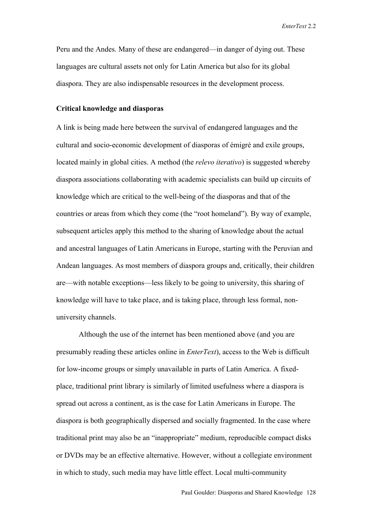Peru and the Andes. Many of these are endangered—in danger of dying out. These languages are cultural assets not only for Latin America but also for its global diaspora. They are also indispensable resources in the development process.

## **Critical knowledge and diasporas**

A link is being made here between the survival of endangered languages and the cultural and socio-economic development of diasporas of émigré and exile groups, located mainly in global cities. A method (the *relevo iterativo*) is suggested whereby diaspora associations collaborating with academic specialists can build up circuits of knowledge which are critical to the well-being of the diasporas and that of the countries or areas from which they come (the "root homeland"). By way of example, subsequent articles apply this method to the sharing of knowledge about the actual and ancestral languages of Latin Americans in Europe, starting with the Peruvian and Andean languages. As most members of diaspora groups and, critically, their children are—with notable exceptions—less likely to be going to university, this sharing of knowledge will have to take place, and is taking place, through less formal, nonuniversity channels.

Although the use of the internet has been mentioned above (and you are presumably reading these articles online in *EnterText*), access to the Web is difficult for low-income groups or simply unavailable in parts of Latin America. A fixedplace, traditional print library is similarly of limited usefulness where a diaspora is spread out across a continent, as is the case for Latin Americans in Europe. The diaspora is both geographically dispersed and socially fragmented. In the case where traditional print may also be an "inappropriate" medium, reproducible compact disks or DVDs may be an effective alternative. However, without a collegiate environment in which to study, such media may have little effect. Local multi-community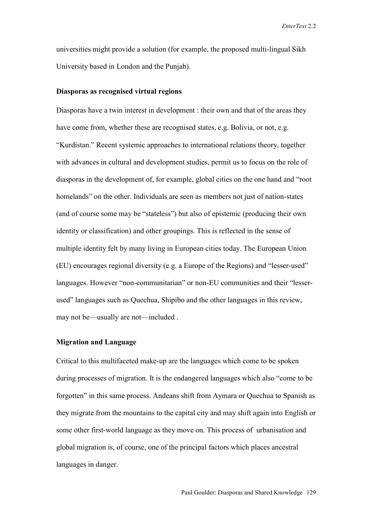universities might provide a solution (for example, the proposed multi-lingual Sikh University based in London and the Punjab).

## **Diasporas as recognised virtual regions**

Diasporas have a twin interest in development : their own and that of the areas they have come from, whether these are recognised states, e.g. Bolivia, or not, e.g. "Kurdistan." Recent systemic approaches to international relations theory, together with advances in cultural and development studies, permit us to focus on the role of diasporas in the development of, for example, global cities on the one hand and "root homelands" on the other. Individuals are seen as members not just of nation-states (and of course some may be "stateless") but also of epistemic (producing their own identity or classification) and other groupings. This is reflected in the sense of multiple identity felt by many living in European cities today. The European Union (EU) encourages regional diversity (e.g. a Europe of the Regions) and "lesser-used" languages. However "non-communitarian" or non-EU communities and their "lesserused" languages such as Quechua, Shipibo and the other languages in this review, may not be—usually are not—included .

## **Migration and Language**

Critical to this multifaceted make-up are the languages which come to be spoken during processes of migration. It is the endangered languages which also "come to be forgotten" in this same process. Andeans shift from Aymara or Quechua to Spanish as they migrate from the mountains to the capital city and may shift again into English or some other first-world language as they move on. This process of urbanisation and global migration is, of course, one of the principal factors which places ancestral languages in danger.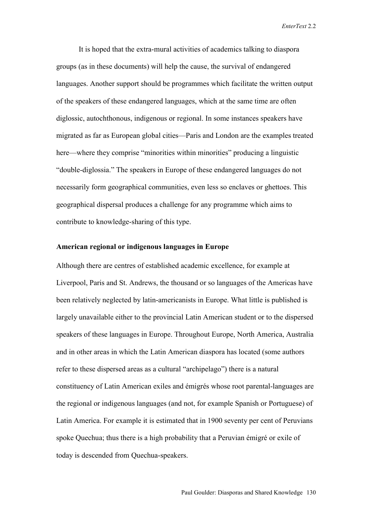It is hoped that the extra-mural activities of academics talking to diaspora groups (as in these documents) will help the cause, the survival of endangered languages. Another support should be programmes which facilitate the written output of the speakers of these endangered languages, which at the same time are often diglossic, autochthonous, indigenous or regional. In some instances speakers have migrated as far as European global cities—Paris and London are the examples treated here—where they comprise "minorities within minorities" producing a linguistic "double-diglossia." The speakers in Europe of these endangered languages do not necessarily form geographical communities, even less so enclaves or ghettoes. This geographical dispersal produces a challenge for any programme which aims to contribute to knowledge-sharing of this type.

## **American regional or indigenous languages in Europe**

Although there are centres of established academic excellence, for example at Liverpool, Paris and St. Andrews, the thousand or so languages of the Americas have been relatively neglected by latin-americanists in Europe. What little is published is largely unavailable either to the provincial Latin American student or to the dispersed speakers of these languages in Europe. Throughout Europe, North America, Australia and in other areas in which the Latin American diaspora has located (some authors refer to these dispersed areas as a cultural "archipelago") there is a natural constituency of Latin American exiles and émigrés whose root parental-languages are the regional or indigenous languages (and not, for example Spanish or Portuguese) of Latin America. For example it is estimated that in 1900 seventy per cent of Peruvians spoke Quechua; thus there is a high probability that a Peruvian émigré or exile of today is descended from Quechua-speakers.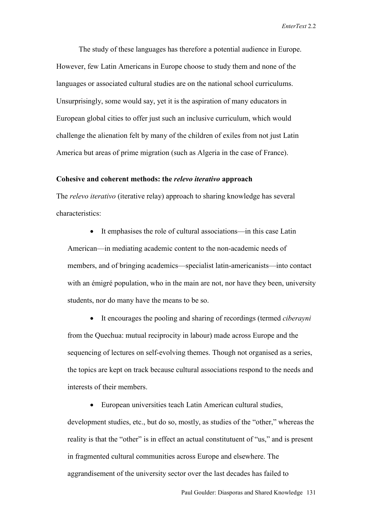The study of these languages has therefore a potential audience in Europe. However, few Latin Americans in Europe choose to study them and none of the languages or associated cultural studies are on the national school curriculums. Unsurprisingly, some would say, yet it is the aspiration of many educators in European global cities to offer just such an inclusive curriculum, which would challenge the alienation felt by many of the children of exiles from not just Latin America but areas of prime migration (such as Algeria in the case of France).

## **Cohesive and coherent methods: the** *relevo iterativo* **approach**

The *relevo iterativo* (iterative relay) approach to sharing knowledge has several characteristics:

• It emphasises the role of cultural associations—in this case Latin American—in mediating academic content to the non-academic needs of members, and of bringing academics—specialist latin-americanists—into contact with an émigré population, who in the main are not, nor have they been, university students, nor do many have the means to be so.

• It encourages the pooling and sharing of recordings (termed *ciberayni* from the Quechua: mutual reciprocity in labour) made across Europe and the sequencing of lectures on self-evolving themes. Though not organised as a series, the topics are kept on track because cultural associations respond to the needs and interests of their members.

• European universities teach Latin American cultural studies,

development studies, etc., but do so, mostly, as studies of the "other," whereas the reality is that the "other" is in effect an actual constitutuent of "us," and is present in fragmented cultural communities across Europe and elsewhere. The aggrandisement of the university sector over the last decades has failed to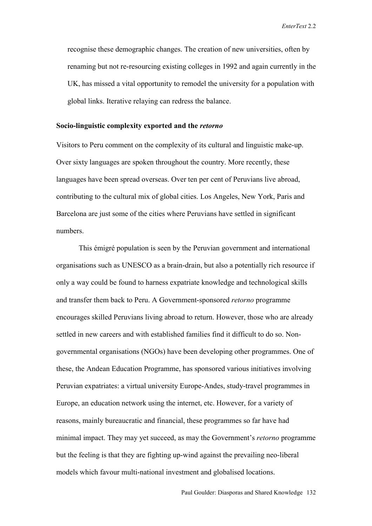recognise these demographic changes. The creation of new universities, often by renaming but not re-resourcing existing colleges in 1992 and again currently in the UK, has missed a vital opportunity to remodel the university for a population with global links. Iterative relaying can redress the balance.

## **Socio-linguistic complexity exported and the** *retorno*

Visitors to Peru comment on the complexity of its cultural and linguistic make-up. Over sixty languages are spoken throughout the country. More recently, these languages have been spread overseas. Over ten per cent of Peruvians live abroad, contributing to the cultural mix of global cities. Los Angeles, New York, Paris and Barcelona are just some of the cities where Peruvians have settled in significant numbers.

This émigré population is seen by the Peruvian government and international organisations such as UNESCO as a brain-drain, but also a potentially rich resource if only a way could be found to harness expatriate knowledge and technological skills and transfer them back to Peru. A Government-sponsored *retorno* programme encourages skilled Peruvians living abroad to return. However, those who are already settled in new careers and with established families find it difficult to do so. Nongovernmental organisations (NGOs) have been developing other programmes. One of these, the Andean Education Programme, has sponsored various initiatives involving Peruvian expatriates: a virtual university Europe-Andes, study-travel programmes in Europe, an education network using the internet, etc. However, for a variety of reasons, mainly bureaucratic and financial, these programmes so far have had minimal impact. They may yet succeed, as may the Government's *retorno* programme but the feeling is that they are fighting up-wind against the prevailing neo-liberal models which favour multi-national investment and globalised locations.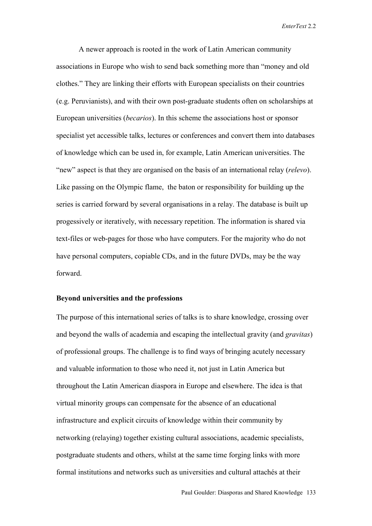A newer approach is rooted in the work of Latin American community associations in Europe who wish to send back something more than "money and old clothes." They are linking their efforts with European specialists on their countries (e.g. Peruvianists), and with their own post-graduate students often on scholarships at European universities (*becarios*). In this scheme the associations host or sponsor specialist yet accessible talks, lectures or conferences and convert them into databases of knowledge which can be used in, for example, Latin American universities. The "new" aspect is that they are organised on the basis of an international relay (*relevo*). Like passing on the Olympic flame, the baton or responsibility for building up the series is carried forward by several organisations in a relay. The database is built up progessively or iteratively, with necessary repetition. The information is shared via text-files or web-pages for those who have computers. For the majority who do not have personal computers, copiable CDs, and in the future DVDs, may be the way forward.

## **Beyond universities and the professions**

The purpose of this international series of talks is to share knowledge, crossing over and beyond the walls of academia and escaping the intellectual gravity (and *gravitas*) of professional groups. The challenge is to find ways of bringing acutely necessary and valuable information to those who need it, not just in Latin America but throughout the Latin American diaspora in Europe and elsewhere. The idea is that virtual minority groups can compensate for the absence of an educational infrastructure and explicit circuits of knowledge within their community by networking (relaying) together existing cultural associations, academic specialists, postgraduate students and others, whilst at the same time forging links with more formal institutions and networks such as universities and cultural attachés at their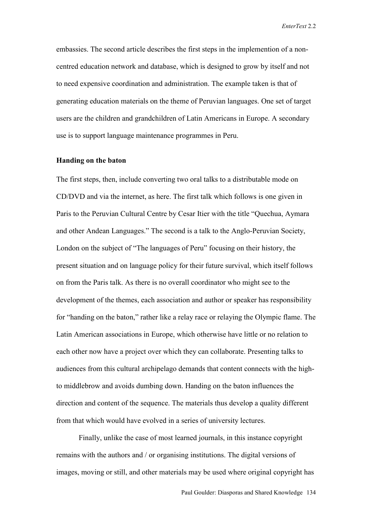embassies. The second article describes the first steps in the implemention of a noncentred education network and database, which is designed to grow by itself and not to need expensive coordination and administration. The example taken is that of generating education materials on the theme of Peruvian languages. One set of target users are the children and grandchildren of Latin Americans in Europe. A secondary use is to support language maintenance programmes in Peru.

## **Handing on the baton**

The first steps, then, include converting two oral talks to a distributable mode on CD/DVD and via the internet, as here. The first talk which follows is one given in Paris to the Peruvian Cultural Centre by Cesar Itier with the title "Quechua, Aymara and other Andean Languages." The second is a talk to the Anglo-Peruvian Society, London on the subject of "The languages of Peru" focusing on their history, the present situation and on language policy for their future survival, which itself follows on from the Paris talk. As there is no overall coordinator who might see to the development of the themes, each association and author or speaker has responsibility for "handing on the baton," rather like a relay race or relaying the Olympic flame. The Latin American associations in Europe, which otherwise have little or no relation to each other now have a project over which they can collaborate. Presenting talks to audiences from this cultural archipelago demands that content connects with the highto middlebrow and avoids dumbing down. Handing on the baton influences the direction and content of the sequence. The materials thus develop a quality different from that which would have evolved in a series of university lectures.

Finally, unlike the case of most learned journals, in this instance copyright remains with the authors and / or organising institutions. The digital versions of images, moving or still, and other materials may be used where original copyright has